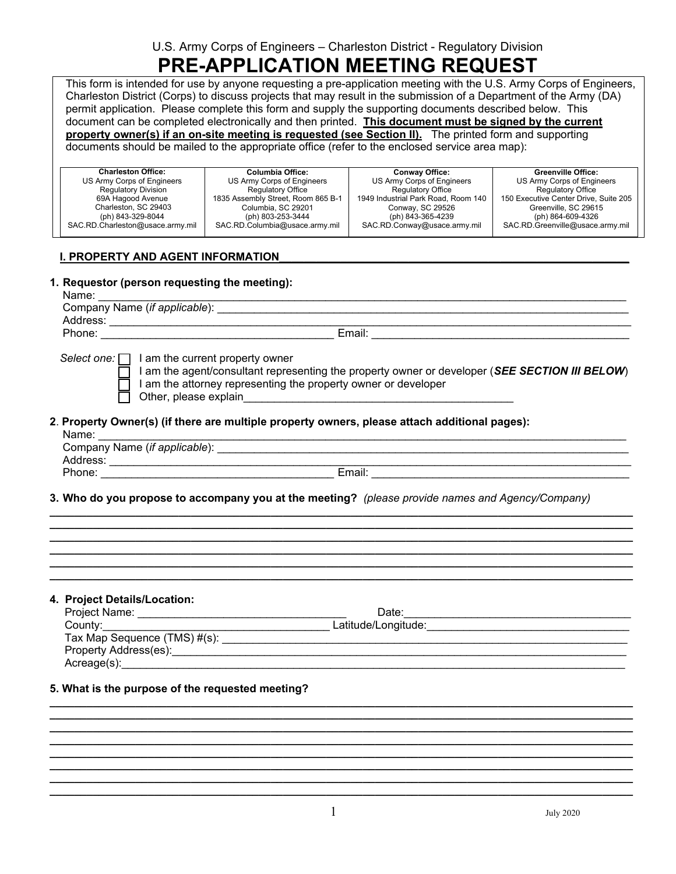U.S. Army Corps of Engineers – Charleston District - Regulatory Division

# **PRE-APPLICATION MEETING REQUEST**

This form is intended for use by anyone requesting a pre-application meeting with the U.S. Army Corps of Engineers, Charleston District (Corps) to discuss projects that may result in the submission of a Department of the Army (DA) permit application. Please complete this form and supply the supporting documents described below. This document can be completed electronically and then printed. **This document must be signed by the current**  property owner(s) if an on-site meeting is requested (see Section II). The printed form and supporting documents should be mailed to the appropriate office (refer to the enclosed service area map):

| <b>Charleston Office:</b>        | Columbia Office:                   | <b>Conway Office:</b>               | <b>Greenville Office:</b>             |
|----------------------------------|------------------------------------|-------------------------------------|---------------------------------------|
| US Army Corps of Engineers       | US Army Corps of Engineers         | US Army Corps of Engineers          | US Army Corps of Engineers            |
| <b>Regulatory Division</b>       | <b>Regulatory Office</b>           | Regulatory Office                   | <b>Regulatory Office</b>              |
| 69A Hagood Avenue                | 1835 Assembly Street, Room 865 B-1 | 1949 Industrial Park Road, Room 140 | 150 Executive Center Drive, Suite 205 |
| Charleston, SC 29403             | Columbia, SC 29201                 | Conway, SC 29526                    | Greenville, SC 29615                  |
| (ph) 843-329-8044                | (ph) 803-253-3444                  | (ph) 843-365-4239                   | (ph) 864-609-4326                     |
| SAC.RD.Charleston@usace.army.mil | SAC.RD.Columbia@usace.army.mil     | SAC.RD.Conway@usace.army.mil        | SAC.RD.Greenville@usace.army.mil      |
|                                  |                                    |                                     |                                       |

# **I. PROPERTY AND AGENT INFORMATION**

# **1. Requestor (person requesting the meeting):**

| г. |  |  |
|----|--|--|
|    |  |  |

| Name:                         |        |
|-------------------------------|--------|
| Company Name (if applicable): |        |
| Address:                      |        |
| Phone:                        | Email: |
|                               |        |

*Select one:*  $\Box$  I am the current property owner

 $\overline{\hspace{0.1cm}}$  I am the agent/consultant representing the property owner or developer (*SEE SECTION III BELOW*) I am the attorney representing the property owner or developer  $\Box$  Other, please explain

# **2**. **Property Owner(s) (if there are multiple property owners, please attach additional pages):**

| Name:                         |        |
|-------------------------------|--------|
| Company Name (if applicable): |        |
| Address:                      |        |
| Phone:                        | Email: |

**\_\_\_\_\_\_\_\_\_\_\_\_\_\_\_\_\_\_\_\_\_\_\_\_\_\_\_\_\_\_\_\_\_\_\_\_\_\_\_\_\_\_\_\_\_\_\_\_\_\_\_\_\_\_\_\_\_\_\_\_\_\_\_\_\_\_\_\_\_\_\_\_\_\_\_\_\_\_\_\_\_\_\_\_\_\_\_\_\_\_\_\_\_\_\_ \_\_\_\_\_\_\_\_\_\_\_\_\_\_\_\_\_\_\_\_\_\_\_\_\_\_\_\_\_\_\_\_\_\_\_\_\_\_\_\_\_\_\_\_\_\_\_\_\_\_\_\_\_\_\_\_\_\_\_\_\_\_\_\_\_\_\_\_\_\_\_\_\_\_\_\_\_\_\_\_\_\_\_\_\_\_\_\_\_\_\_\_\_\_\_ \_\_\_\_\_\_\_\_\_\_\_\_\_\_\_\_\_\_\_\_\_\_\_\_\_\_\_\_\_\_\_\_\_\_\_\_\_\_\_\_\_\_\_\_\_\_\_\_\_\_\_\_\_\_\_\_\_\_\_\_\_\_\_\_\_\_\_\_\_\_\_\_\_\_\_\_\_\_\_\_\_\_\_\_\_\_\_\_\_\_\_\_\_\_\_ \_\_\_\_\_\_\_\_\_\_\_\_\_\_\_\_\_\_\_\_\_\_\_\_\_\_\_\_\_\_\_\_\_\_\_\_\_\_\_\_\_\_\_\_\_\_\_\_\_\_\_\_\_\_\_\_\_\_\_\_\_\_\_\_\_\_\_\_\_\_\_\_\_\_\_\_\_\_\_\_\_\_\_\_\_\_\_\_\_\_\_\_\_\_\_ \_\_\_\_\_\_\_\_\_\_\_\_\_\_\_\_\_\_\_\_\_\_\_\_\_\_\_\_\_\_\_\_\_\_\_\_\_\_\_\_\_\_\_\_\_\_\_\_\_\_\_\_\_\_\_\_\_\_\_\_\_\_\_\_\_\_\_\_\_\_\_\_\_\_\_\_\_\_\_\_\_\_\_\_\_\_\_\_\_\_\_\_\_\_\_ \_\_\_\_\_\_\_\_\_\_\_\_\_\_\_\_\_\_\_\_\_\_\_\_\_\_\_\_\_\_\_\_\_\_\_\_\_\_\_\_\_\_\_\_\_\_\_\_\_\_\_\_\_\_\_\_\_\_\_\_\_\_\_\_\_\_\_\_\_\_\_\_\_\_\_\_\_\_\_\_\_\_\_\_\_\_\_\_\_\_\_\_\_\_\_**

**3. Who do you propose to accompany you at the meeting?** *(please provide names and Agency/Company)*

#### **4. Project Details/Location:**

| $\cdot$ . $\cdot$ , $\cdot$ , $\cdot$ , $\cdot$ , $\cdot$ , $\cdot$ , $\cdot$ , $\cdot$ , $\cdot$ , $\cdot$ , $\cdot$ , $\cdot$ , $\cdot$ , $\cdot$ |                     |  |
|-----------------------------------------------------------------------------------------------------------------------------------------------------|---------------------|--|
| Project Name:                                                                                                                                       | Date:               |  |
| County:____                                                                                                                                         | Latitude/Longitude: |  |
| Tax Map Sequence (TMS) #(s):                                                                                                                        |                     |  |
| Property Address(es):                                                                                                                               |                     |  |
| Acreage(s):                                                                                                                                         |                     |  |

**\_\_\_\_\_\_\_\_\_\_\_\_\_\_\_\_\_\_\_\_\_\_\_\_\_\_\_\_\_\_\_\_\_\_\_\_\_\_\_\_\_\_\_\_\_\_\_\_\_\_\_\_\_\_\_\_\_\_\_\_\_\_\_\_\_\_\_\_\_\_\_\_\_\_\_\_\_\_\_\_\_\_\_\_\_\_\_\_\_\_\_\_\_\_\_ \_\_\_\_\_\_\_\_\_\_\_\_\_\_\_\_\_\_\_\_\_\_\_\_\_\_\_\_\_\_\_\_\_\_\_\_\_\_\_\_\_\_\_\_\_\_\_\_\_\_\_\_\_\_\_\_\_\_\_\_\_\_\_\_\_\_\_\_\_\_\_\_\_\_\_\_\_\_\_\_\_\_\_\_\_\_\_\_\_\_\_\_\_\_\_ \_\_\_\_\_\_\_\_\_\_\_\_\_\_\_\_\_\_\_\_\_\_\_\_\_\_\_\_\_\_\_\_\_\_\_\_\_\_\_\_\_\_\_\_\_\_\_\_\_\_\_\_\_\_\_\_\_\_\_\_\_\_\_\_\_\_\_\_\_\_\_\_\_\_\_\_\_\_\_\_\_\_\_\_\_\_\_\_\_\_\_\_\_\_\_ \_\_\_\_\_\_\_\_\_\_\_\_\_\_\_\_\_\_\_\_\_\_\_\_\_\_\_\_\_\_\_\_\_\_\_\_\_\_\_\_\_\_\_\_\_\_\_\_\_\_\_\_\_\_\_\_\_\_\_\_\_\_\_\_\_\_\_\_\_\_\_\_\_\_\_\_\_\_\_\_\_\_\_\_\_\_\_\_\_\_\_\_\_\_\_ \_\_\_\_\_\_\_\_\_\_\_\_\_\_\_\_\_\_\_\_\_\_\_\_\_\_\_\_\_\_\_\_\_\_\_\_\_\_\_\_\_\_\_\_\_\_\_\_\_\_\_\_\_\_\_\_\_\_\_\_\_\_\_\_\_\_\_\_\_\_\_\_\_\_\_\_\_\_\_\_\_\_\_\_\_\_\_\_\_\_\_\_\_\_\_ \_\_\_\_\_\_\_\_\_\_\_\_\_\_\_\_\_\_\_\_\_\_\_\_\_\_\_\_\_\_\_\_\_\_\_\_\_\_\_\_\_\_\_\_\_\_\_\_\_\_\_\_\_\_\_\_\_\_\_\_\_\_\_\_\_\_\_\_\_\_\_\_\_\_\_\_\_\_\_\_\_\_\_\_\_\_\_\_\_\_\_\_\_\_\_ \_\_\_\_\_\_\_\_\_\_\_\_\_\_\_\_\_\_\_\_\_\_\_\_\_\_\_\_\_\_\_\_\_\_\_\_\_\_\_\_\_\_\_\_\_\_\_\_\_\_\_\_\_\_\_\_\_\_\_\_\_\_\_\_\_\_\_\_\_\_\_\_\_\_\_\_\_\_\_\_\_\_\_\_\_\_\_\_\_\_\_\_\_\_\_ \_\_\_\_\_\_\_\_\_\_\_\_\_\_\_\_\_\_\_\_\_\_\_\_\_\_\_\_\_\_\_\_\_\_\_\_\_\_\_\_\_\_\_\_\_\_\_\_\_\_\_\_\_\_\_\_\_\_\_\_\_\_\_\_\_\_\_\_\_\_\_\_\_\_\_\_\_\_\_\_\_\_\_\_\_\_\_\_\_\_\_\_\_\_\_**

# **5. What is the purpose of the requested meeting?**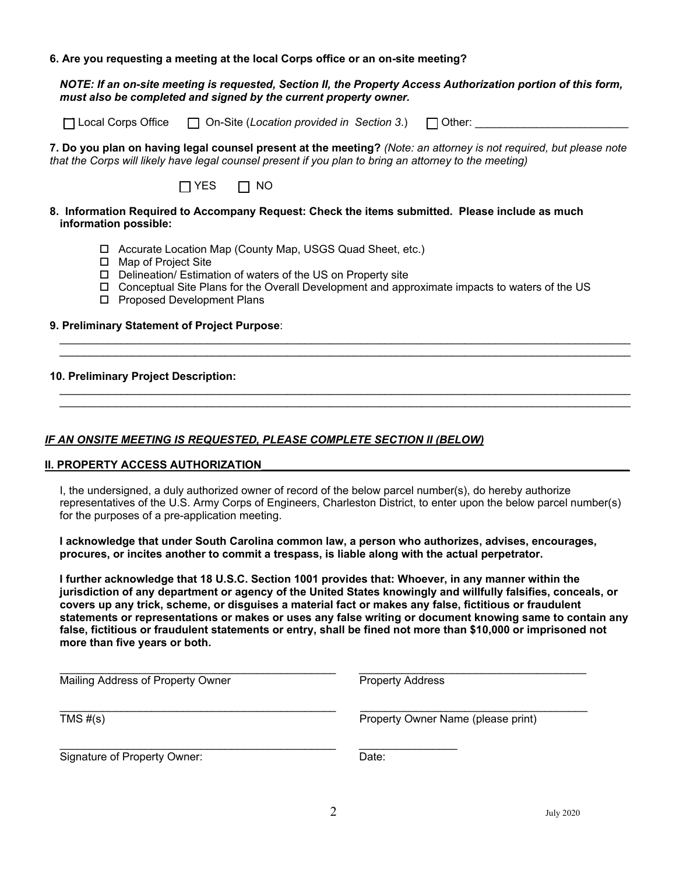#### **6. Are you requesting a meeting at the local Corps office or an on-site meeting?**

*NOTE: If an on-site meeting is requested, Section II, the Property Access Authorization portion of this form, must also be completed and signed by the current property owner.*

[ | Local Corps Office | | On-Site (*Location provided in Section 3*.) | | Other:

**7. Do you plan on having legal counsel present at the meeting?** *(Note: an attorney is not required, but please note that the Corps will likely have legal counsel present if you plan to bring an attorney to the meeting)*



#### **8. Information Required to Accompany Request: Check the items submitted. Please include as much information possible:**

- Accurate Location Map (County Map, USGS Quad Sheet, etc.)
- □ Map of Project Site
- □ Delineation/ Estimation of waters of the US on Property site
- Conceptual Site Plans for the Overall Development and approximate impacts to waters of the US

 $\mathcal{L}_\mathcal{L} = \mathcal{L}_\mathcal{L} = \mathcal{L}_\mathcal{L} = \mathcal{L}_\mathcal{L} = \mathcal{L}_\mathcal{L} = \mathcal{L}_\mathcal{L} = \mathcal{L}_\mathcal{L} = \mathcal{L}_\mathcal{L} = \mathcal{L}_\mathcal{L} = \mathcal{L}_\mathcal{L} = \mathcal{L}_\mathcal{L} = \mathcal{L}_\mathcal{L} = \mathcal{L}_\mathcal{L} = \mathcal{L}_\mathcal{L} = \mathcal{L}_\mathcal{L} = \mathcal{L}_\mathcal{L} = \mathcal{L}_\mathcal{L}$ 

□ Proposed Development Plans

## **9. Preliminary Statement of Project Purpose**:

## **10. Preliminary Project Description:**

# **IF AN ONSITE MEETING IS REQUESTED, PLEASE COMPLETE SECTION II (BELOW)**

#### **II. PROPERTY ACCESS AUTHORIZATION**

I, the undersigned, a duly authorized owner of record of the below parcel number(s), do hereby authorize representatives of the U.S. Army Corps of Engineers, Charleston District, to enter upon the below parcel number(s) for the purposes of a pre-application meeting.

**I acknowledge that under South Carolina common law, a person who authorizes, advises, encourages, procures, or incites another to commit a trespass, is liable along with the actual perpetrator.** 

**I further acknowledge that 18 U.S.C. Section 1001 provides that: Whoever, in any manner within the jurisdiction of any department or agency of the United States knowingly and willfully falsifies, conceals, or covers up any trick, scheme, or disguises a material fact or makes any false, fictitious or fraudulent statements or representations or makes or uses any false writing or document knowing same to contain any false, fictitious or fraudulent statements or entry, shall be fined not more than \$10,000 or imprisoned not more than five years or both.** 

| Mailing Address of Property Owner | <b>Property Address</b>            |  |  |
|-----------------------------------|------------------------------------|--|--|
| TMS $#(s)$                        | Property Owner Name (please print) |  |  |
| Signature of Property Owner:      | Date:                              |  |  |